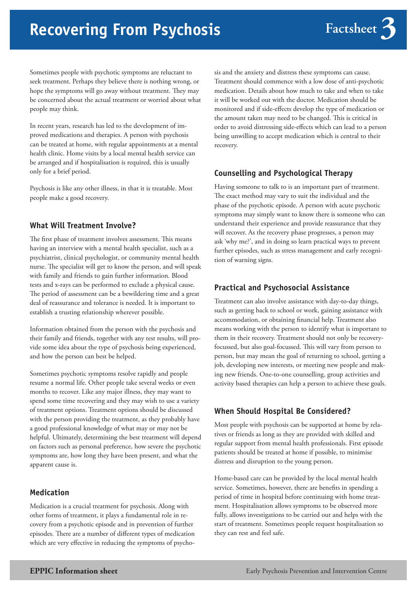# **Recovering From Psychosis**

Sometimes people with psychotic symptoms are reluctant to seek treatment. Perhaps they believe there is nothing wrong, or hope the symptoms will go away without treatment. They may be concerned about the actual treatment or worried about what people may think.

In recent years, research has led to the development of improved medications and therapies. A person with psychosis can be treated at home, with regular appointments at a mental health clinic. Home visits by a local mental health service can be arranged and if hospitalisation is required, this is usually only for a brief period.

Psychosis is like any other illness, in that it is treatable. Most people make a good recovery.

## **What Will Treatment Involve?**

The first phase of treatment involves assessment. This means having an interview with a mental health specialist, such as a psychiatrist, clinical psychologist, or community mental health nurse. The specialist will get to know the person, and will speak with family and friends to gain further information. Blood tests and x-rays can be performed to exclude a physical cause. The period of assessment can be a bewildering time and a great deal of reassurance and tolerance is needed. It is important to establish a trusting relationship wherever possible.

Information obtained from the person with the psychosis and their family and friends, together with any test results, will provide some idea about the type of psychosis being experienced, and how the person can best be helped.

Sometimes psychotic symptoms resolve rapidly and people resume a normal life. Other people take several weeks or even months to recover. Like any major illness, they may want to spend some time recovering and they may wish to use a variety of treatment options. Treatment options should be discussed with the person providing the treatment, as they probably have a good professional knowledge of what may or may not be helpful. Ultimately, determining the best treatment will depend on factors such as personal preference, how severe the psychotic symptoms are, how long they have been present, and what the apparent cause is.

#### **Medication**

Medication is a crucial treatment for psychosis. Along with other forms of treatment, it plays a fundamental role in recovery from a psychotic episode and in prevention of further episodes. There are a number of different types of medication which are very effective in reducing the symptoms of psycho-

sis and the anxiety and distress these symptoms can cause. Treatment should commence with a low dose of anti-psychotic medication. Details about how much to take and when to take it will be worked out with the doctor. Medication should be monitored and if side-effects develop the type of medication or the amount taken may need to be changed. This is critical in order to avoid distressing side-effects which can lead to a person being unwilling to accept medication which is central to their recovery.

#### **Counselling and Psychological Therapy**

Having someone to talk to is an important part of treatment. The exact method may vary to suit the individual and the phase of the psychotic episode. A person with acute psychotic symptoms may simply want to know there is someone who can understand their experience and provide reassurance that they will recover. As the recovery phase progresses, a person may ask 'why me?', and in doing so learn practical ways to prevent further episodes, such as stress management and early recognition of warning signs.

#### **Practical and Psychosocial Assistance**

Treatment can also involve assistance with day-to-day things, such as getting back to school or work, gaining assistance with accommodation, or obtaining financial help. Treatment also means working with the person to identify what is important to them in their recovery. Treatment should not only be recoveryfocussed, but also goal-focussed. This will vary from person to person, but may mean the goal of returning to school, getting a job, developing new interests, or meeting new people and making new friends. One-to-one counselling, group activities and activity based therapies can help a person to achieve these goals.

## **When Should Hospital Be Considered?**

Most people with psychosis can be supported at home by relatives or friends as long as they are provided with skilled and regular support from mental health professionals. First episode patients should be treated at home if possible, to minimise distress and disruption to the young person.

Home-based care can be provided by the local mental health service. Sometimes, however, there are benefits in spending a period of time in hospital before continuing with home treatment. Hospitalisation allows symptoms to be observed more fully, allows investigations to be carried out and helps with the start of treatment. Sometimes people request hospitalisation so they can rest and feel safe.